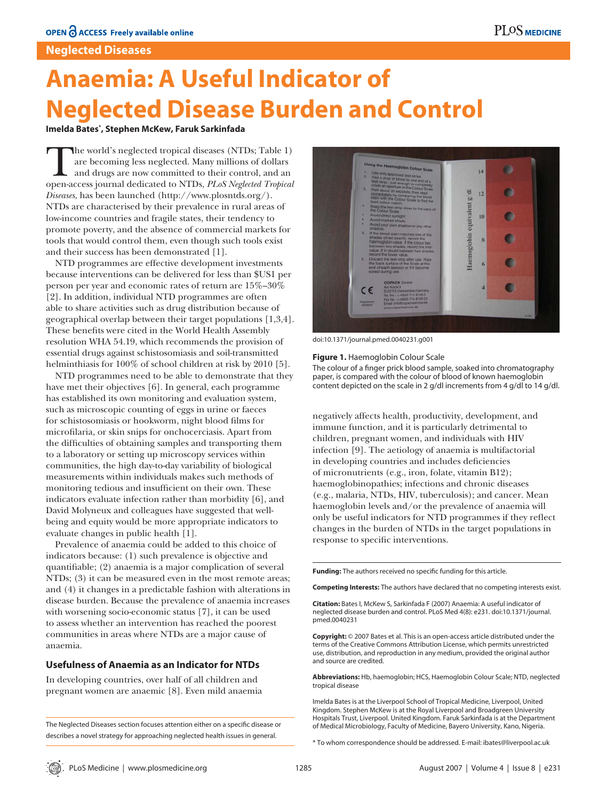# **Neglected Diseases**

# **Anaemia: A Useful Indicator of Neglected Disease Burden and Control**

# **Imelda Bates\* , Stephen McKew, Faruk Sarkinfada**

The world's neglected tropical diseases (NTDs; Table 1) are becoming less neglected. Many millions of dollars and drugs are now committed to their control, and an open-access journal dedicated to NTDs, *PLoS Neglected Tropical Diseases*, has been launched (http://www.plosntds.org/). NTDs are characterised by their prevalence in rural areas of low-income countries and fragile states, their tendency to promote poverty, and the absence of commercial markets for tools that would control them, even though such tools exist and their success has been demonstrated [1].

NTD programmes are effective development investments because interventions can be delivered for less than \$US1 per person per year and economic rates of return are 15%–30% [2]. In addition, individual NTD programmes are often able to share activities such as drug distribution because of geographical overlap between their target populations [1,3,4]. These benefits were cited in the World Health Assembly resolution WHA 54.19, which recommends the provision of essential drugs against schistosomiasis and soil-transmitted helminthiasis for 100% of school children at risk by 2010 [5].

NTD programmes need to be able to demonstrate that they have met their objectives [6]. In general, each programme has established its own monitoring and evaluation system, such as microscopic counting of eggs in urine or faeces for schistosomiasis or hookworm, night blood films for microfilaria, or skin snips for onchocerciasis. Apart from the difficulties of obtaining samples and transporting them to a laboratory or setting up microscopy services within communities, the high day-to-day variability of biological measurements within individuals makes such methods of monitoring tedious and insufficient on their own. These indicators evaluate infection rather than morbidity [6], and David Molyneux and colleagues have suggested that wellbeing and equity would be more appropriate indicators to evaluate changes in public health [1].

Prevalence of anaemia could be added to this choice of indicators because: (1) such prevalence is objective and quantifiable; (2) anaemia is a major complication of several NTDs; (3) it can be measured even in the most remote areas; and (4) it changes in a predictable fashion with alterations in disease burden. Because the prevalence of anaemia increases with worsening socio-economic status [7], it can be used to assess whether an intervention has reached the poorest communities in areas where NTDs are a major cause of anaemia.

# **Usefulness of Anaemia as an Indicator for NTDs**

In developing countries, over half of all children and pregnant women are anaemic [8]. Even mild anaemia



doi:10.1371/journal.pmed.0040231.g001

#### **Figure 1.** Haemoglobin Colour Scale

The colour of a finger prick blood sample, soaked into chromatography paper, is compared with the colour of blood of known haemoglobin content depicted on the scale in 2 g/dl increments from 4 g/dl to 14 g/dl.

negatively affects health, productivity, development, and immune function, and it is particularly detrimental to children, pregnant women, and individuals with HIV infection [9]. The aetiology of anaemia is multifactorial in developing countries and includes deficiencies of micronutrients (e.g., iron, folate, vitamin B12); haemoglobinopathies; infections and chronic diseases (e.g., malaria, NTDs, HIV, tuberculosis); and cancer. Mean haemoglobin levels and/or the prevalence of anaemia will only be useful indicators for NTD programmes if they reflect changes in the burden of NTDs in the target populations in response to specific interventions.

Funding: The authors received no specific funding for this article.

**Competing Interests:** The authors have declared that no competing interests exist.

**Citation:** Bates I, McKew S, Sarkinfada F (2007) Anaemia: A useful indicator of neglected disease burden and control. PLoS Med 4(8): e231. doi:10.1371/journal. pmed.0040231

**Copyright:** © 2007 Bates et al. This is an open-access article distributed under the terms of the Creative Commons Attribution License, which permits unrestricted use, distribution, and reproduction in any medium, provided the original author and source are credited.

**Abbreviations:** Hb, haemoglobin; HCS, Haemoglobin Colour Scale; NTD, neglected tropical disease

Imelda Bates is at the Liverpool School of Tropical Medicine, Liverpool, United Kingdom. Stephen McKew is at the Royal Liverpool and Broadgreen University Hospitals Trust, Liverpool. United Kingdom. Faruk Sarkinfada is at the Department of Medical Microbiology, Faculty of Medicine, Bayero University, Kano, Nigeria.

\* To whom correspondence should be addressed. E-mail: ibates@liverpool.ac.uk

The Neglected Diseases section focuses attention either on a specific disease or describes a novel strategy for approaching neglected health issues in general.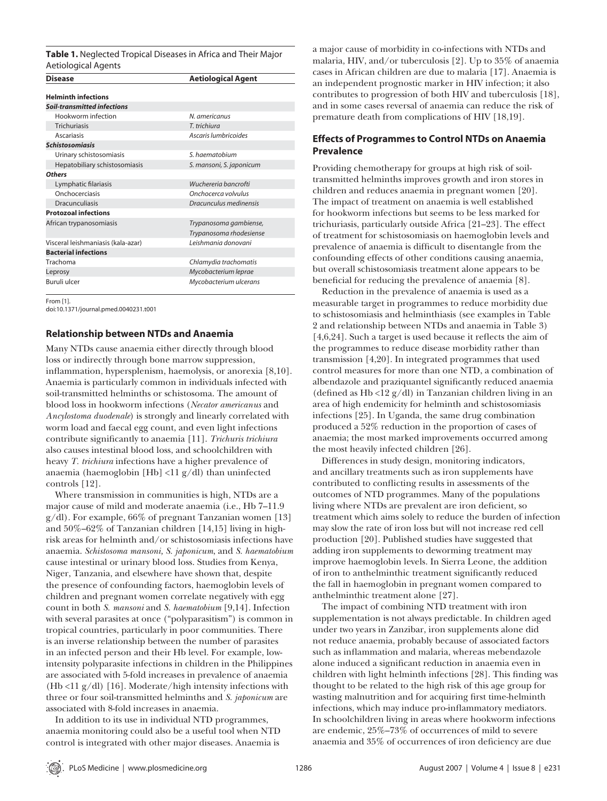| <b>Table 1.</b> Neglected Tropical Diseases in Africa and Their Major |  |
|-----------------------------------------------------------------------|--|
| Aetiological Agents                                                   |  |

| <b>Disease</b>                     | <b>Aetiological Agent</b> |  |  |
|------------------------------------|---------------------------|--|--|
| <b>Helminth infections</b>         |                           |  |  |
| <b>Soil-transmitted infections</b> |                           |  |  |
| Hookworm infection                 | N. americanus             |  |  |
| <b>Trichuriasis</b>                | T. trichiura              |  |  |
| Ascariasis                         | Ascaris lumbricoides      |  |  |
| <b>Schistosomiasis</b>             |                           |  |  |
| Urinary schistosomiasis            | S. haematobium            |  |  |
| Hepatobiliary schistosomiasis      | S. mansoni, S. japonicum  |  |  |
| <b>Others</b>                      |                           |  |  |
| Lymphatic filariasis               | Wuchereria bancrofti      |  |  |
| Onchocerciasis                     | Onchocerca volvulus       |  |  |
| <b>Dracunculiasis</b>              | Dracunculus medinensis    |  |  |
| <b>Protozoal infections</b>        |                           |  |  |
| African trypanosomiasis            | Trypanosoma gambiense,    |  |  |
|                                    | Trypanosoma rhodesiense   |  |  |
| Visceral leishmaniasis (kala-azar) | Leishmania donovani       |  |  |
| <b>Bacterial infections</b>        |                           |  |  |
| Trachoma                           | Chlamydia trachomatis     |  |  |
| Leprosy                            | Mycobacterium leprae      |  |  |
| Buruli ulcer                       | Mycobacterium ulcerans    |  |  |

From [1].

doi:10.1371/journal.pmed.0040231.t001

### **Relationship between NTDs and Anaemia**

Many NTDs cause anaemia either directly through blood loss or indirectly through bone marrow suppression, inflammation, hypersplenism, haemolysis, or anorexia [8,10]. Anaemia is particularly common in individuals infected with soil-transmitted helminths or schistosoma. The amount of blood loss in hookworm infections (*Necator americanus* and *Ancylostoma duodenale*) is strongly and linearly correlated with worm load and faecal egg count, and even light infections contribute significantly to anaemia [11]. *Trichuris trichiura* also causes intestinal blood loss, and schoolchildren with heavy *T. trichiura* infections have a higher prevalence of anaemia (haemoglobin [Hb] <11 g/dl) than uninfected controls [12].

Where transmission in communities is high, NTDs are a major cause of mild and moderate anaemia (i.e., Hb 7–11.9 g/dl). For example, 66% of pregnant Tanzanian women [13] and 50%–62% of Tanzanian children [14,15] living in highrisk areas for helminth and/or schistosomiasis infections have anaemia. *Schistosoma mansoni, S. japonicum*, and *S. haematobium* cause intestinal or urinary blood loss. Studies from Kenya, Niger, Tanzania, and elsewhere have shown that, despite the presence of confounding factors, haemoglobin levels of children and pregnant women correlate negatively with egg count in both *S. mansoni* and *S. haematobium* [9,14]. Infection with several parasites at once ("polyparasitism") is common in tropical countries, particularly in poor communities. There is an inverse relationship between the number of parasites in an infected person and their Hb level. For example, lowintensity polyparasite infections in children in the Philippines are associated with 5-fold increases in prevalence of anaemia  $(Hb < 11 g/dl)$  [16]. Moderate/high intensity infections with three or four soil-transmitted helminths and *S. japonicum* are associated with 8-fold increases in anaemia.

In addition to its use in individual NTD programmes, anaemia monitoring could also be a useful tool when NTD control is integrated with other major diseases. Anaemia is

a major cause of morbidity in co-infections with NTDs and malaria, HIV, and/or tuberculosis [2]. Up to 35% of anaemia cases in African children are due to malaria [17]. Anaemia is an independent prognostic marker in HIV infection; it also contributes to progression of both HIV and tuberculosis [18], and in some cases reversal of anaemia can reduce the risk of premature death from complications of HIV [18,19].

# **Effects of Programmes to Control NTDs on Anaemia Prevalence**

Providing chemotherapy for groups at high risk of soiltransmitted helminths improves growth and iron stores in children and reduces anaemia in pregnant women [20]. The impact of treatment on anaemia is well established for hookworm infections but seems to be less marked for trichuriasis, particularly outside Africa [21–23]. The effect of treatment for schistosomiasis on haemoglobin levels and prevalence of anaemia is difficult to disentangle from the confounding effects of other conditions causing anaemia, but overall schistosomiasis treatment alone appears to be beneficial for reducing the prevalence of anaemia [8].

Reduction in the prevalence of anaemia is used as a measurable target in programmes to reduce morbidity due to schistosomiasis and helminthiasis (see examples in Table 2 and relationship between NTDs and anaemia in Table 3)  $[4,6,24]$ . Such a target is used because it reflects the aim of the programmes to reduce disease morbidity rather than transmission [4,20]. In integrated programmes that used control measures for more than one NTD, a combination of albendazole and praziquantel significantly reduced anaemia (defined as Hb <12  $g/dl$ ) in Tanzanian children living in an area of high endemicity for helminth and schistosomiasis infections [25]. In Uganda, the same drug combination produced a 52% reduction in the proportion of cases of anaemia; the most marked improvements occurred among the most heavily infected children [26].

Differences in study design, monitoring indicators, and ancillary treatments such as iron supplements have contributed to conflicting results in assessments of the outcomes of NTD programmes. Many of the populations living where NTDs are prevalent are iron deficient, so treatment which aims solely to reduce the burden of infection may slow the rate of iron loss but will not increase red cell production [20]. Published studies have suggested that adding iron supplements to deworming treatment may improve haemoglobin levels. In Sierra Leone, the addition of iron to anthelminthic treatment significantly reduced the fall in haemoglobin in pregnant women compared to anthelminthic treatment alone [27].

The impact of combining NTD treatment with iron supplementation is not always predictable. In children aged under two years in Zanzibar, iron supplements alone did not reduce anaemia, probably because of associated factors such as inflammation and malaria, whereas mebendazole alone induced a significant reduction in anaemia even in children with light helminth infections [28]. This finding was thought to be related to the high risk of this age group for wasting malnutrition and for acquiring first time-helminth infections, which may induce pro-inflammatory mediators. In schoolchildren living in areas where hookworm infections are endemic, 25%–73% of occurrences of mild to severe anaemia and 35% of occurrences of iron deficiency are due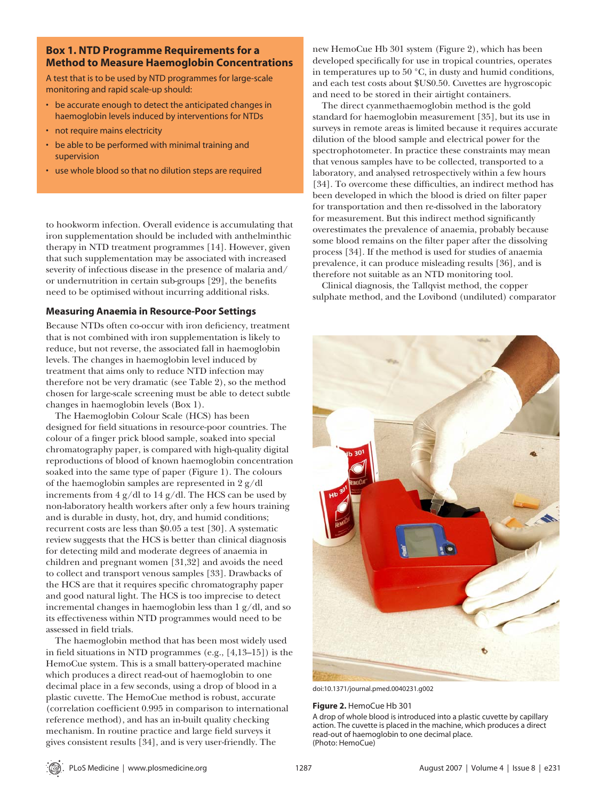# **Box 1. NTD Programme Requirements for a Method to Measure Haemoglobin Concentrations**

A test that is to be used by NTD programmes for large-scale monitoring and rapid scale-up should:

- be accurate enough to detect the anticipated changes in haemoglobin levels induced by interventions for NTDs
- not require mains electricity
- be able to be performed with minimal training and supervision
- use whole blood so that no dilution steps are required

to hookworm infection. Overall evidence is accumulating that iron supplementation should be included with anthelminthic therapy in NTD treatment programmes [14]. However, given that such supplementation may be associated with increased severity of infectious disease in the presence of malaria and/ or undernutrition in certain sub-groups [29], the benefits need to be optimised without incurring additional risks.

# **Measuring Anaemia in Resource-Poor Settings**

Because NTDs often co-occur with iron deficiency, treatment that is not combined with iron supplementation is likely to reduce, but not reverse, the associated fall in haemoglobin levels. The changes in haemoglobin level induced by treatment that aims only to reduce NTD infection may therefore not be very dramatic (see Table 2), so the method chosen for large-scale screening must be able to detect subtle changes in haemoglobin levels (Box 1).

The Haemoglobin Colour Scale (HCS) has been designed for field situations in resource-poor countries. The colour of a finger prick blood sample, soaked into special chromatography paper, is compared with high-quality digital reproductions of blood of known haemoglobin concentration soaked into the same type of paper (Figure 1). The colours of the haemoglobin samples are represented in 2 g/dl increments from  $4 \frac{g}{dl}$  to  $14 \frac{g}{dl}$ . The HCS can be used by non-laboratory health workers after only a few hours training and is durable in dusty, hot, dry, and humid conditions; recurrent costs are less than \$0.05 a test [30]. A systematic review suggests that the HCS is better than clinical diagnosis for detecting mild and moderate degrees of anaemia in children and pregnant women [31,32] and avoids the need to collect and transport venous samples [33]. Drawbacks of the HCS are that it requires specific chromatography paper and good natural light. The HCS is too imprecise to detect incremental changes in haemoglobin less than 1 g/dl, and so its effectiveness within NTD programmes would need to be assessed in field trials.

The haemoglobin method that has been most widely used in field situations in NTD programmes  $(e.g., [4,13-15])$  is the HemoCue system. This is a small battery-operated machine which produces a direct read-out of haemoglobin to one decimal place in a few seconds, using a drop of blood in a plastic cuvette. The HemoCue method is robust, accurate (correlation coefficient 0.995 in comparison to international reference method), and has an in-built quality checking mechanism. In routine practice and large field surveys it gives consistent results [34], and is very user-friendly. The

new HemoCue Hb 301 system (Figure 2), which has been developed specifically for use in tropical countries, operates in temperatures up to 50 °C, in dusty and humid conditions, and each test costs about \$US0.50. Cuvettes are hygroscopic and need to be stored in their airtight containers.

The direct cyanmethaemoglobin method is the gold standard for haemoglobin measurement [35], but its use in surveys in remote areas is limited because it requires accurate dilution of the blood sample and electrical power for the spectrophotometer. In practice these constraints may mean that venous samples have to be collected, transported to a laboratory, and analysed retrospectively within a few hours [34]. To overcome these difficulties, an indirect method has been developed in which the blood is dried on filter paper for transportation and then re-dissolved in the laboratory for measurement. But this indirect method significantly overestimates the prevalence of anaemia, probably because some blood remains on the filter paper after the dissolving process [34]. If the method is used for studies of anaemia prevalence, it can produce misleading results [36], and is therefore not suitable as an NTD monitoring tool.

Clinical diagnosis, the Tallqvist method, the copper sulphate method, and the Lovibond (undiluted) comparator



doi:10.1371/journal.pmed.0040231.g002

#### **Figure 2.** HemoCue Hb 301

A drop of whole blood is introduced into a plastic cuvette by capillary action. The cuvette is placed in the machine, which produces a direct read-out of haemoglobin to one decimal place. (Photo: HemoCue)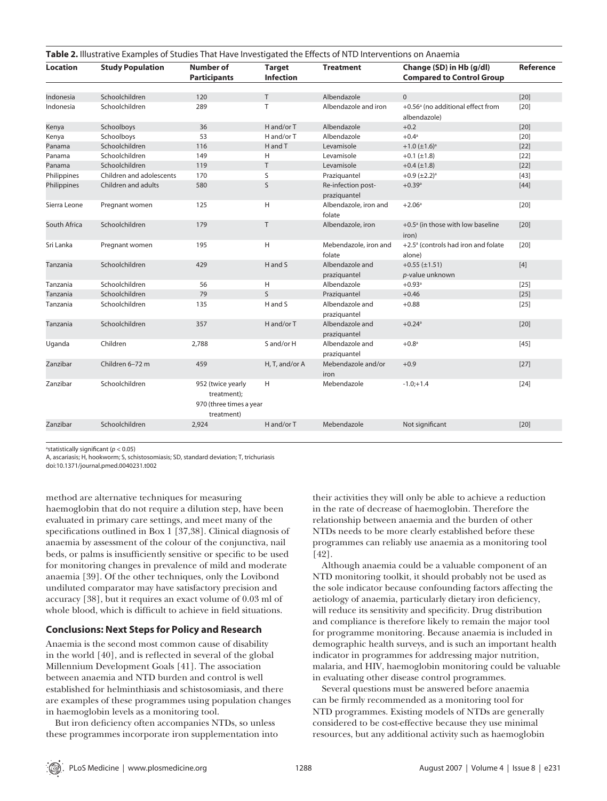| Table 2. Illustrative Examples of Studies That Have Investigated the Effects of NTD Interventions on Anaemia |                          |                                                                           |                                   |                                    |                                                               |           |
|--------------------------------------------------------------------------------------------------------------|--------------------------|---------------------------------------------------------------------------|-----------------------------------|------------------------------------|---------------------------------------------------------------|-----------|
| <b>Location</b>                                                                                              | <b>Study Population</b>  | <b>Number of</b><br><b>Participants</b>                                   | <b>Target</b><br><b>Infection</b> | <b>Treatment</b>                   | Change (SD) in Hb (g/dl)<br><b>Compared to Control Group</b>  | Reference |
|                                                                                                              |                          |                                                                           |                                   |                                    |                                                               |           |
| Indonesia                                                                                                    | Schoolchildren           | 120                                                                       | T                                 | Albendazole                        | $\Omega$                                                      | $[20]$    |
| Indonesia                                                                                                    | Schoolchildren           | 289                                                                       | T                                 | Albendazole and iron               | +0.56 <sup>a</sup> (no additional effect from<br>albendazole) | $[20]$    |
| Kenya                                                                                                        | Schoolboys               | 36                                                                        | H and/or T                        | Albendazole                        | $+0.2$                                                        | $[20]$    |
| Kenya                                                                                                        | Schoolboys               | 53                                                                        | H and/or T                        | Albendazole                        | $+0.4^{\circ}$                                                | $[20]$    |
| Panama                                                                                                       | Schoolchildren           | 116                                                                       | H and T                           | Levamisole                         | $+1.0 \ (\pm 1.6)^a$                                          | $[22]$    |
| Panama                                                                                                       | Schoolchildren           | 149                                                                       | H                                 | Levamisole                         | $+0.1 (\pm 1.8)$                                              | $[22]$    |
| Panama                                                                                                       | Schoolchildren           | 119                                                                       | T                                 | Levamisole                         | $+0.4$ (±1.8)                                                 | $[22]$    |
| Philippines                                                                                                  | Children and adolescents | 170                                                                       | S                                 | Praziquantel                       | $+0.9$ (±2.2) <sup>a</sup>                                    | $[43]$    |
| Philippines                                                                                                  | Children and adults      | 580                                                                       | S                                 | Re-infection post-<br>praziquantel | $+0.39$ <sup>a</sup>                                          | $[44]$    |
| Sierra Leone                                                                                                 | Pregnant women           | 125                                                                       | н                                 | Albendazole, iron and<br>folate    | $+2.06^{\circ}$                                               | $[20]$    |
| South Africa                                                                                                 | Schoolchildren           | 179                                                                       | Τ                                 | Albendazole, iron                  | $+0.5$ <sup>a</sup> (in those with low baseline<br>iron)      | $[20]$    |
| Sri Lanka                                                                                                    | Pregnant women           | 195                                                                       | H                                 | Mebendazole, iron and<br>folate    | +2.5 <sup>a</sup> (controls had iron and folate<br>alone)     | $[20]$    |
| Tanzania                                                                                                     | Schoolchildren           | 429                                                                       | H and S                           | Albendazole and<br>praziquantel    | $+0.55 (\pm 1.51)$<br>p-value unknown                         | $[4]$     |
| Tanzania                                                                                                     | Schoolchildren           | 56                                                                        | н                                 | Albendazole                        | $+0.93^{\circ}$                                               | $[25]$    |
| Tanzania                                                                                                     | Schoolchildren           | 79                                                                        | $\mathsf{S}$                      | Praziquantel                       | $+0.46$                                                       | $[25]$    |
| Tanzania                                                                                                     | Schoolchildren           | 135                                                                       | H and S                           | Albendazole and<br>praziquantel    | $+0.88$                                                       | $[25]$    |
| Tanzania                                                                                                     | Schoolchildren           | 357                                                                       | H and/or T                        | Albendazole and<br>praziquantel    | $+0.24$ <sup>a</sup>                                          | $[20]$    |
| Uganda                                                                                                       | Children                 | 2,788                                                                     | S and/or H                        | Albendazole and<br>praziquantel    | $+0.8a$                                                       | $[45]$    |
| Zanzibar                                                                                                     | Children 6-72 m          | 459                                                                       | H, T, and/or A                    | Mebendazole and/or<br>iron         | $+0.9$                                                        | $[27]$    |
| Zanzibar                                                                                                     | Schoolchildren           | 952 (twice yearly<br>treatment);<br>970 (three times a year<br>treatment) | H                                 | Mebendazole                        | $-1.0;+1.4$                                                   | $[24]$    |
| Zanzibar                                                                                                     | Schoolchildren           | 2,924                                                                     | H and/or T                        | Mebendazole                        | Not significant                                               | $[20]$    |
|                                                                                                              |                          |                                                                           |                                   |                                    |                                                               |           |

<sup>a</sup>statistically significant (p < 0.05)

A, ascariasis; H, hookworm; S, schistosomiasis; SD, standard deviation; T, trichuriasis

doi:10.1371/journal.pmed.0040231.t002

method are alternative techniques for measuring haemoglobin that do not require a dilution step, have been evaluated in primary care settings, and meet many of the specifications outlined in Box 1 [37,38]. Clinical diagnosis of anaemia by assessment of the colour of the conjunctiva, nail beds, or palms is insufficiently sensitive or specific to be used for monitoring changes in prevalence of mild and moderate anaemia [39]. Of the other techniques, only the Lovibond undiluted comparator may have satisfactory precision and accuracy [38], but it requires an exact volume of 0.03 ml of whole blood, which is difficult to achieve in field situations.

# **Conclusions: Next Steps for Policy and Research**

Anaemia is the second most common cause of disability in the world  $[40]$ , and is reflected in several of the global Millennium Development Goals [41]. The association between anaemia and NTD burden and control is well established for helminthiasis and schistosomiasis, and there are examples of these programmes using population changes in haemoglobin levels as a monitoring tool.

But iron deficiency often accompanies NTDs, so unless these programmes incorporate iron supplementation into

their activities they will only be able to achieve a reduction in the rate of decrease of haemoglobin. Therefore the relationship between anaemia and the burden of other NTDs needs to be more clearly established before these programmes can reliably use anaemia as a monitoring tool [42].

Although anaemia could be a valuable component of an NTD monitoring toolkit, it should probably not be used as the sole indicator because confounding factors affecting the aetiology of anaemia, particularly dietary iron deficiency, will reduce its sensitivity and specificity. Drug distribution and compliance is therefore likely to remain the major tool for programme monitoring. Because anaemia is included in demographic health surveys, and is such an important health indicator in programmes for addressing major nutrition, malaria, and HIV, haemoglobin monitoring could be valuable in evaluating other disease control programmes.

Several questions must be answered before anaemia can be firmly recommended as a monitoring tool for NTD programmes. Existing models of NTDs are generally considered to be cost-effective because they use minimal resources, but any additional activity such as haemoglobin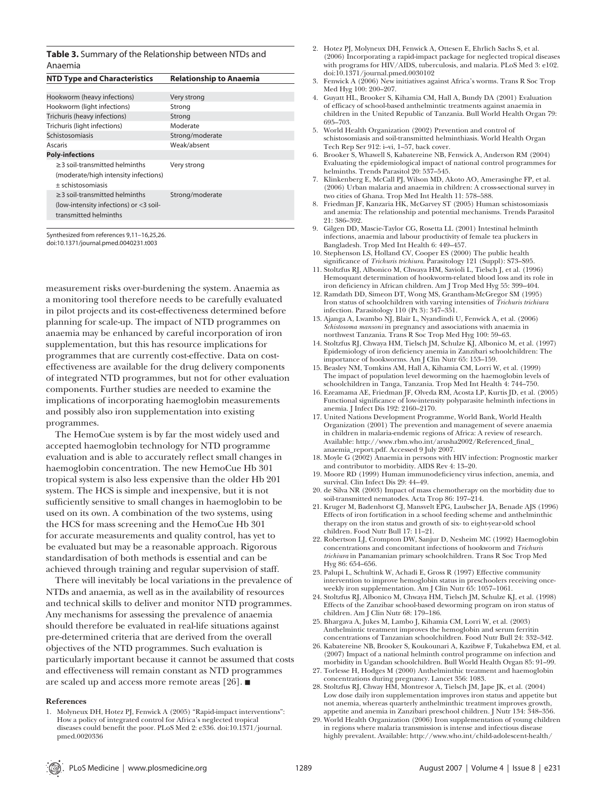#### **Table 3.** Summary of the Relationship between NTDs and Anaemia

| <b>NTD Type and Characteristics</b>                                                                    | <b>Relationship to Anaemia</b> |
|--------------------------------------------------------------------------------------------------------|--------------------------------|
|                                                                                                        |                                |
| Hookworm (heavy infections)                                                                            | Very strong                    |
| Hookworm (light infections)                                                                            | Strong                         |
| Trichuris (heavy infections)                                                                           | Strong                         |
| Trichuris (light infections)                                                                           | Moderate                       |
| Schistosomiasis                                                                                        | Strong/moderate                |
| Ascaris                                                                                                | Weak/absent                    |
| <b>Poly-infections</b>                                                                                 |                                |
| $\geq$ 3 soil-transmitted helminths<br>(moderate/high intensity infections)<br>$±$ schistosomiasis     | Very strong                    |
| $\geq$ 3 soil-transmitted helminths<br>(low-intensity infections) or <3 soil-<br>transmitted helminths | Strong/moderate                |

Synthesized from references 9,11–16,25,26. doi:10.1371/journal.pmed.0040231.t003

measurement risks over-burdening the system. Anaemia as a monitoring tool therefore needs to be carefully evaluated in pilot projects and its cost-effectiveness determined before planning for scale-up. The impact of NTD programmes on anaemia may be enhanced by careful incorporation of iron supplementation, but this has resource implications for programmes that are currently cost-effective. Data on costeffectiveness are available for the drug delivery components of integrated NTD programmes, but not for other evaluation components. Further studies are needed to examine the implications of incorporating haemoglobin measurements and possibly also iron supplementation into existing programmes.

The HemoCue system is by far the most widely used and accepted haemoglobin technology for NTD programme evaluation and is able to accurately reflect small changes in haemoglobin concentration. The new HemoCue Hb 301 tropical system is also less expensive than the older Hb 201 system. The HCS is simple and inexpensive, but it is not sufficiently sensitive to small changes in haemoglobin to be used on its own. A combination of the two systems, using the HCS for mass screening and the HemoCue Hb 301 for accurate measurements and quality control, has yet to be evaluated but may be a reasonable approach. Rigorous standardisation of both methods is essential and can be achieved through training and regular supervision of staff.

There will inevitably be local variations in the prevalence of NTDs and anaemia, as well as in the availability of resources and technical skills to deliver and monitor NTD programmes. Any mechanisms for assessing the prevalence of anaemia should therefore be evaluated in real-life situations against pre-determined criteria that are derived from the overall objectives of the NTD programmes. Such evaluation is particularly important because it cannot be assumed that costs and effectiveness will remain constant as NTD programmes are scaled up and access more remote areas [26].

#### **References**

- 2. Hotez PJ, Molyneux DH, Fenwick A, Ottesen E, Ehrlich Sachs S, et al. (2006) Incorporating a rapid-impact package for neglected tropical diseases with programs for HIV/AIDS, tuberculosis, and malaria. PLoS Med 3: e102. doi:10.1371/journal.pmed.0030102
- 3. Fenwick A (2006) New initiatives against Africa's worms. Trans R Soc Trop Med Hyg 100: 200–207.
- 4. Guyatt HL, Brooker S, Kihamia CM, Hall A, Bundy DA (2001) Evaluation of efficacy of school-based anthelmintic treatments against anaemia in children in the United Republic of Tanzania. Bull World Health Organ 79: 695–703.
- 5. World Health Organization (2002) Prevention and control of schistosomiasis and soil-transmitted helminthiasis. World Health Organ Tech Rep Ser 912: i–vi, 1–57, back cover.
- 6. Brooker S, Whawell S, Kabatereine NB, Fenwick A, Anderson RM (2004) Evaluating the epidemiological impact of national control programmes for helminths. Trends Parasitol 20: 537–545.
- 7. Klinkenberg E, McCall PJ, Wilson MD, Akoto AO, Amerasinghe FP, et al. (2006) Urban malaria and anaemia in children: A cross-sectional survey in two cities of Ghana. Trop Med Int Health 11: 578–588.
- 8. Friedman JF, Kanzaria HK, McGarvey ST (2005) Human schistosomiasis and anemia: The relationship and potential mechanisms. Trends Parasitol 21: 386–392.
- 9. Gilgen DD, Mascie-Taylor CG, Rosetta LL (2001) Intestinal helminth infections, anaemia and labour productivity of female tea pluckers in Bangladesh. Trop Med Int Health 6: 449–457.
- 10. Stephenson LS, Holland CV, Cooper ES (2000) The public health significance of *Trichuris trichiura*. Parasitology 121 (Suppl): S73-S95
- 11. Stoltzfus RJ, Albonico M, Chwaya HM, Savioli L, Tielsch J, et al. (1996) Hemoquant determination of hookworm-related blood loss and its role in iron deficiency in African children. Am J Trop Med Hyg 55: 399-404.
- 12. Ramdath DD, Simeon DT, Wong MS, Grantham-McGregor SM (1995) Iron status of schoolchildren with varying intensities of *Trichuris trichiura* infection. Parasitology 110 (Pt 3): 347–351.
- 13. Ajanga A, Lwambo NJ, Blair L, Nyandindi U, Fenwick A, et al. (2006) *Schistosoma mansoni* in pregnancy and associations with anaemia in northwest Tanzania. Trans R Soc Trop Med Hyg 100: 59–63.
- 14. Stoltzfus RJ, Chwaya HM, Tielsch JM, Schulze KJ, Albonico M, et al. (1997) Epidemiology of iron deficiency anemia in Zanzibari schoolchildren: The importance of hookworms. Am J Clin Nutr 65: 153–159.
- 15. Beasley NM, Tomkins AM, Hall A, Kihamia CM, Lorri W, et al. (1999) The impact of population level deworming on the haemoglobin levels of schoolchildren in Tanga, Tanzania. Trop Med Int Health 4: 744–750.
- 16. Ezeamama AE, Friedman JF, Olveda RM, Acosta LP, Kurtis JD, et al. (2005) Functional significance of low-intensity polyparasite helminth infections in anemia. J Infect Dis 192: 2160–2170.
- 17. United Nations Development Programme, World Bank, World Health Organization (2001) The prevention and management of severe anaemia in children in malaria-endemic regions of Africa: A review of research. Available: http://www.rbm.who.int/arusha2002/Referenced\_final\_ anaemia\_report.pdf. Accessed 9 July 2007.
- 18. Moyle G (2002) Anaemia in persons with HIV infection: Prognostic marker and contributor to morbidity. AIDS Rev 4: 13–20.
- 19. Moore RD (1999) Human immunodeficiency virus infection, anemia, and survival. Clin Infect Dis 29: 44–49.
- 20. de Silva NR (2003) Impact of mass chemotherapy on the morbidity due to soil-transmitted nematodes. Acta Trop 86: 197–214.
- 21. Kruger M, Badenhorst CJ, Mansvelt EPG, Laubscher JA, Benade AJS (1996) Effects of iron fortification in a school feeding scheme and anthelminthic therapy on the iron status and growth of six- to eight-year-old school children. Food Nutr Bull 17: 11–21.
- 22. Robertson LJ, Crompton DW, Sanjur D, Nesheim MC (1992) Haemoglobin concentrations and concomitant infections of hookworm and *Trichuris trichiura* in Panamanian primary schoolchildren. Trans R Soc Trop Med Hyg 86: 654–656.
- 23. Palupi L, Schultink W, Achadi E, Gross R (1997) Effective community intervention to improve hemoglobin status in preschoolers receiving onceweekly iron supplementation. Am J Clin Nutr 65: 1057–1061.
- 24. Stoltzfus RJ, Albonico M, Chwaya HM, Tielsch JM, Schulze KJ, et al. (1998) Effects of the Zanzibar school-based deworming program on iron status of children. Am J Clin Nutr 68: 179–186.
- 25. Bhargava A, Jukes M, Lambo J, Kihamia CM, Lorri W, et al. (2003) Anthelmintic treatment improves the hemoglobin and serum ferritin concentrations of Tanzanian schoolchildren. Food Nutr Bull 24: 332–342.
- 26. Kabatereine NB, Brooker S, Koukounari A, Kazibwe F, Tukahebwa EM, et al. (2007) Impact of a national helminth control programme on infection and morbidity in Ugandan schoolchildren. Bull World Health Organ 85: 91–99.
- 27. Torlesse H, Hodges M (2000) Anthelminthic treatment and haemoglobin concentrations during pregnancy. Lancet 356: 1083.
- 28. Stoltzfus RJ, Chway HM, Montresor A, Tielsch JM, Jape JK, et al. (2004) Low dose daily iron supplementation improves iron status and appetite but not anemia, whereas quarterly anthelminthic treatment improves growth, appetite and anemia in Zanzibari preschool children. J Nutr 134: 348–356.
- 29. World Health Organization (2006) Iron supplementation of young children in regions where malaria transmission is intense and infectious disease highly prevalent. Available: http://www.who.int/child-adolescent-health/

<sup>1.</sup> Molyneux DH, Hotez PJ, Fenwick A (2005) "Rapid-impact interventions": How a policy of integrated control for Africa's neglected tropical diseases could benefit the poor. PLoS Med 2: e336. doi:10.1371/journal. pmed.0020336